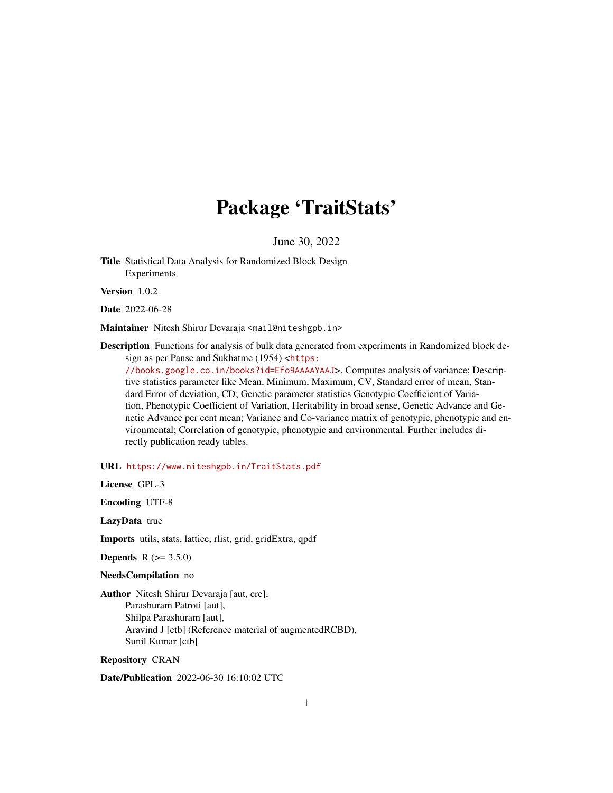# Package 'TraitStats'

June 30, 2022

Title Statistical Data Analysis for Randomized Block Design Experiments

Version 1.0.2

Date 2022-06-28

Maintainer Nitesh Shirur Devaraja <mail@niteshgpb.in>

Description Functions for analysis of bulk data generated from experiments in Randomized block design as per Panse and Sukhatme (1954) <[https:](https://books.google.co.in/books?id=Efo9AAAAYAAJ)

[//books.google.co.in/books?id=Efo9AAAAYAAJ](https://books.google.co.in/books?id=Efo9AAAAYAAJ)>. Computes analysis of variance; Descriptive statistics parameter like Mean, Minimum, Maximum, CV, Standard error of mean, Standard Error of deviation, CD; Genetic parameter statistics Genotypic Coefficient of Variation, Phenotypic Coefficient of Variation, Heritability in broad sense, Genetic Advance and Genetic Advance per cent mean; Variance and Co-variance matrix of genotypic, phenotypic and environmental; Correlation of genotypic, phenotypic and environmental. Further includes directly publication ready tables.

URL <https://www.niteshgpb.in/TraitStats.pdf>

License GPL-3

Encoding UTF-8

LazyData true

Imports utils, stats, lattice, rlist, grid, gridExtra, qpdf

**Depends**  $R (= 3.5.0)$ 

NeedsCompilation no

Author Nitesh Shirur Devaraja [aut, cre], Parashuram Patroti [aut], Shilpa Parashuram [aut], Aravind J [ctb] (Reference material of augmentedRCBD), Sunil Kumar [ctb]

Repository CRAN

Date/Publication 2022-06-30 16:10:02 UTC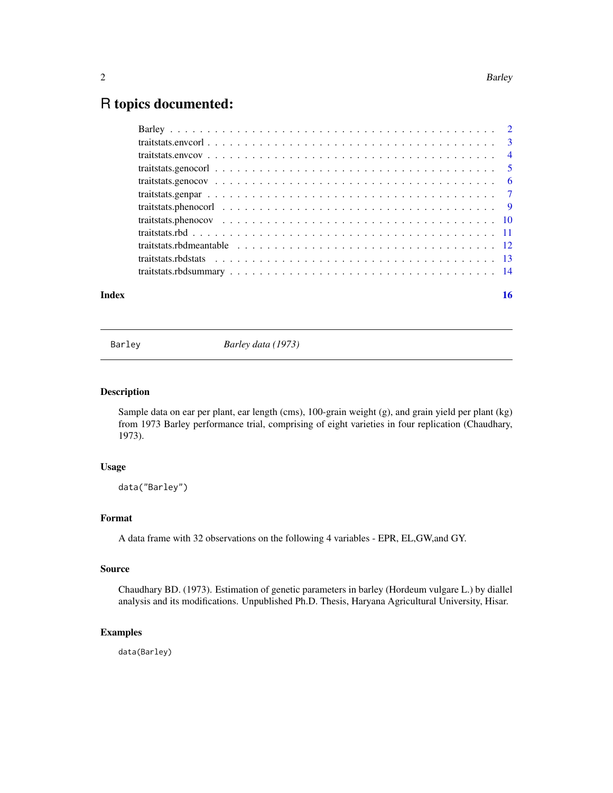# <span id="page-1-0"></span>R topics documented:

| Index | 16 |
|-------|----|
|       |    |
|       |    |
|       |    |
|       |    |
|       |    |
|       |    |
|       |    |
|       |    |
|       |    |
|       |    |
|       |    |
|       |    |

Barley *Barley data (1973)*

# Description

Sample data on ear per plant, ear length (cms), 100-grain weight (g), and grain yield per plant (kg) from 1973 Barley performance trial, comprising of eight varieties in four replication (Chaudhary, 1973).

# Usage

data("Barley")

# Format

A data frame with 32 observations on the following 4 variables - EPR, EL,GW,and GY.

# Source

Chaudhary BD. (1973). Estimation of genetic parameters in barley (Hordeum vulgare L.) by diallel analysis and its modifications. Unpublished Ph.D. Thesis, Haryana Agricultural University, Hisar.

#### Examples

data(Barley)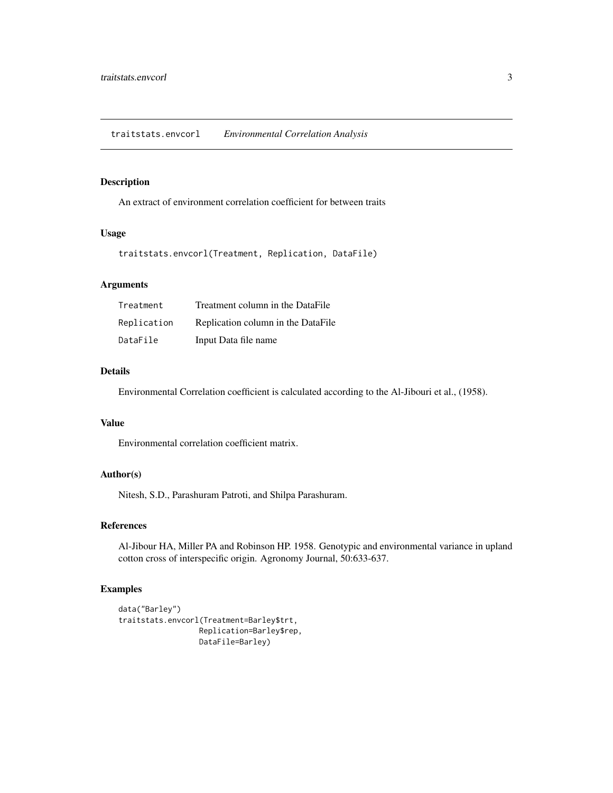# <span id="page-2-0"></span>Description

An extract of environment correlation coefficient for between traits

# Usage

```
traitstats.envcorl(Treatment, Replication, DataFile)
```
#### Arguments

| Treatment   | Treatment column in the DataFile   |
|-------------|------------------------------------|
| Replication | Replication column in the DataFile |
| DataFile    | Input Data file name               |

# Details

Environmental Correlation coefficient is calculated according to the Al-Jibouri et al., (1958).

### Value

Environmental correlation coefficient matrix.

# Author(s)

Nitesh, S.D., Parashuram Patroti, and Shilpa Parashuram.

#### References

Al-Jibour HA, Miller PA and Robinson HP. 1958. Genotypic and environmental variance in upland cotton cross of interspecific origin. Agronomy Journal, 50:633-637.

```
data("Barley")
traitstats.envcorl(Treatment=Barley$trt,
                 Replication=Barley$rep,
                  DataFile=Barley)
```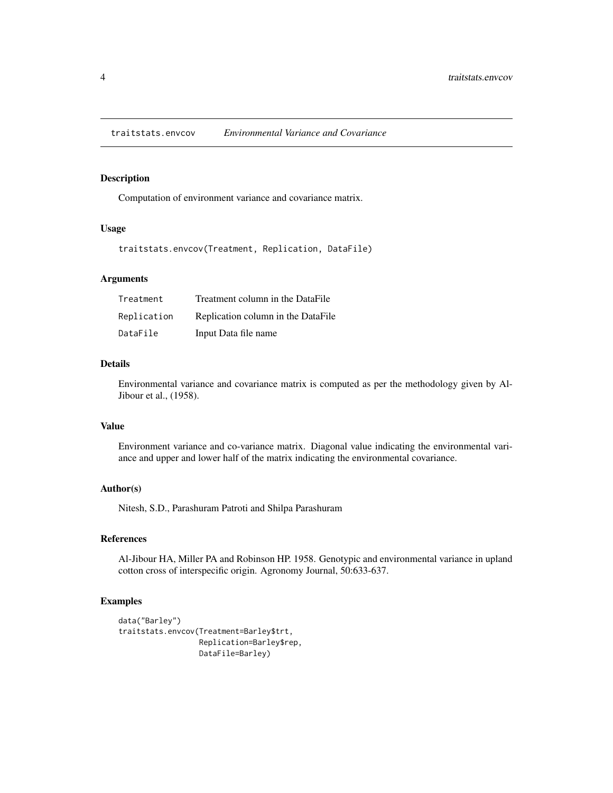<span id="page-3-0"></span>traitstats.envcov *Environmental Variance and Covariance*

#### Description

Computation of environment variance and covariance matrix.

#### Usage

traitstats.envcov(Treatment, Replication, DataFile)

#### Arguments

| Treatment   | Treatment column in the DataFile   |
|-------------|------------------------------------|
| Replication | Replication column in the DataFile |
| DataFile    | Input Data file name               |

### Details

Environmental variance and covariance matrix is computed as per the methodology given by Al-Jibour et al., (1958).

## Value

Environment variance and co-variance matrix. Diagonal value indicating the environmental variance and upper and lower half of the matrix indicating the environmental covariance.

#### Author(s)

Nitesh, S.D., Parashuram Patroti and Shilpa Parashuram

# References

Al-Jibour HA, Miller PA and Robinson HP. 1958. Genotypic and environmental variance in upland cotton cross of interspecific origin. Agronomy Journal, 50:633-637.

```
data("Barley")
traitstats.envcov(Treatment=Barley$trt,
                 Replication=Barley$rep,
                  DataFile=Barley)
```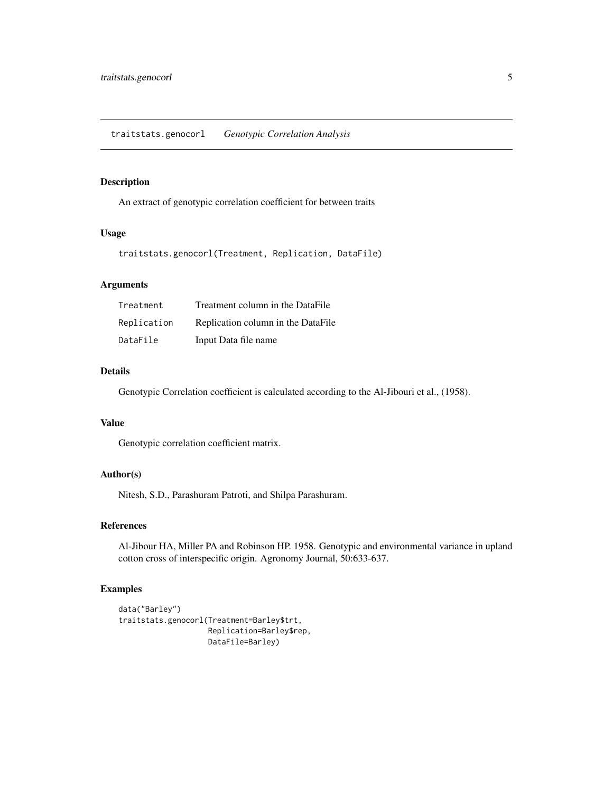# <span id="page-4-0"></span>Description

An extract of genotypic correlation coefficient for between traits

#### Usage

```
traitstats.genocorl(Treatment, Replication, DataFile)
```
#### Arguments

| Treatment   | Treatment column in the DataFile   |
|-------------|------------------------------------|
| Replication | Replication column in the DataFile |
| DataFile    | Input Data file name               |

# Details

Genotypic Correlation coefficient is calculated according to the Al-Jibouri et al., (1958).

### Value

Genotypic correlation coefficient matrix.

# Author(s)

Nitesh, S.D., Parashuram Patroti, and Shilpa Parashuram.

#### References

Al-Jibour HA, Miller PA and Robinson HP. 1958. Genotypic and environmental variance in upland cotton cross of interspecific origin. Agronomy Journal, 50:633-637.

```
data("Barley")
traitstats.genocorl(Treatment=Barley$trt,
                    Replication=Barley$rep,
                    DataFile=Barley)
```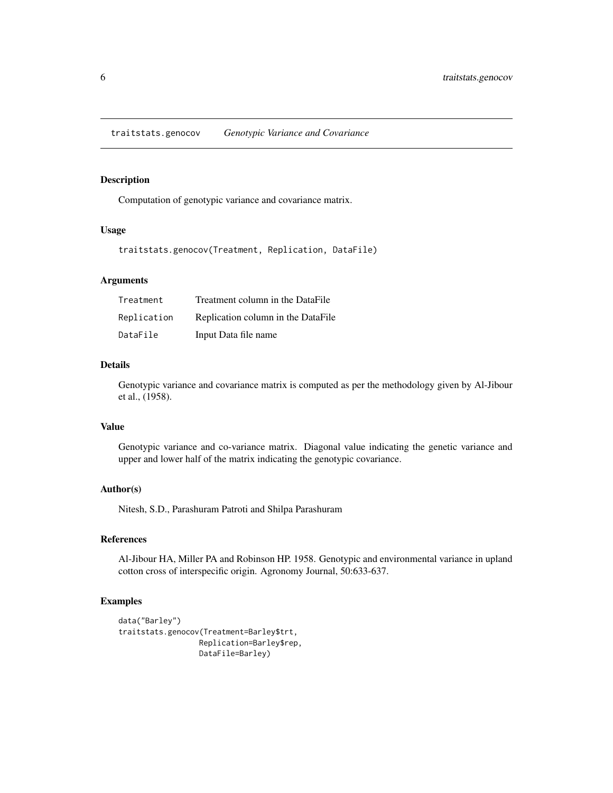<span id="page-5-0"></span>traitstats.genocov *Genotypic Variance and Covariance*

#### Description

Computation of genotypic variance and covariance matrix.

# Usage

traitstats.genocov(Treatment, Replication, DataFile)

# Arguments

| Treatment   | Treatment column in the DataFile   |
|-------------|------------------------------------|
| Replication | Replication column in the DataFile |
| DataFile    | Input Data file name               |

#### Details

Genotypic variance and covariance matrix is computed as per the methodology given by Al-Jibour et al., (1958).

# Value

Genotypic variance and co-variance matrix. Diagonal value indicating the genetic variance and upper and lower half of the matrix indicating the genotypic covariance.

# Author(s)

Nitesh, S.D., Parashuram Patroti and Shilpa Parashuram

# References

Al-Jibour HA, Miller PA and Robinson HP. 1958. Genotypic and environmental variance in upland cotton cross of interspecific origin. Agronomy Journal, 50:633-637.

```
data("Barley")
traitstats.genocov(Treatment=Barley$trt,
                 Replication=Barley$rep,
                  DataFile=Barley)
```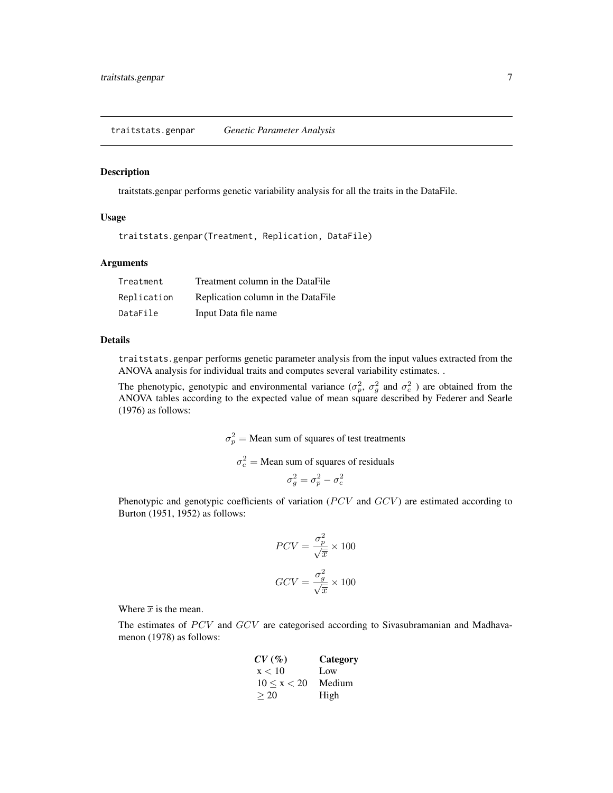#### <span id="page-6-0"></span>Description

traitstats.genpar performs genetic variability analysis for all the traits in the DataFile.

#### Usage

traitstats.genpar(Treatment, Replication, DataFile)

#### Arguments

| Treatment   | Treatment column in the DataFile   |
|-------------|------------------------------------|
| Replication | Replication column in the DataFile |
| DataFile    | Input Data file name               |

#### Details

traitstats.genpar performs genetic parameter analysis from the input values extracted from the ANOVA analysis for individual traits and computes several variability estimates. .

The phenotypic, genotypic and environmental variance  $(\sigma_p^2, \sigma_g^2)$  and  $\sigma_e^2$ ) are obtained from the ANOVA tables according to the expected value of mean square described by Federer and Searle (1976) as follows:

 $\sigma_p^2$  = Mean sum of squares of test treatments

 $\sigma_e^2$  = Mean sum of squares of residuals

$$
\sigma_g^2 = \sigma_p^2 - \sigma_e^2
$$

Phenotypic and genotypic coefficients of variation ( $PCV$  and  $GCV$ ) are estimated according to Burton (1951, 1952) as follows:

$$
PCV = \frac{\sigma_p^2}{\sqrt{\overline{x}}} \times 100
$$
  

$$
GCV = \frac{\sigma_g^2}{\sqrt{\overline{x}}} \times 100
$$

Where  $\bar{x}$  is the mean.

The estimates of  $PCV$  and  $GCV$  are categorised according to Sivasubramanian and Madhavamenon (1978) as follows:

| CV(%)       | Category |
|-------------|----------|
| x < 10      | Low      |
| 10 < x < 20 | Medium   |
| >20         | High     |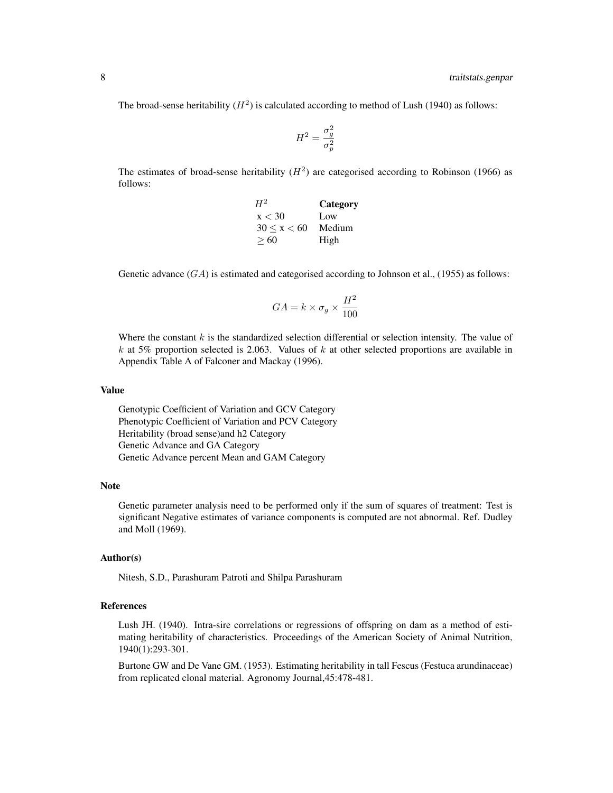The broad-sense heritability  $(H^2)$  is calculated according to method of Lush (1940) as follows:

$$
H^2=\frac{\sigma_g^2}{\sigma_p^2}
$$

The estimates of broad-sense heritability  $(H^2)$  are categorised according to Robinson (1966) as follows:

| $H^2$       | Category |
|-------------|----------|
| x < 30      | Low      |
| 30 < x < 60 | Medium   |
| >60         | High     |

Genetic advance  $(GA)$  is estimated and categorised according to Johnson et al., (1955) as follows:

$$
GA = k \times \sigma_g \times \frac{H^2}{100}
$$

Where the constant  $k$  is the standardized selection differential or selection intensity. The value of k at 5% proportion selected is 2.063. Values of  $k$  at other selected proportions are available in Appendix Table A of Falconer and Mackay (1996).

# Value

Genotypic Coefficient of Variation and GCV Category Phenotypic Coefficient of Variation and PCV Category Heritability (broad sense)and h2 Category Genetic Advance and GA Category Genetic Advance percent Mean and GAM Category

#### Note

Genetic parameter analysis need to be performed only if the sum of squares of treatment: Test is significant Negative estimates of variance components is computed are not abnormal. Ref. Dudley and Moll (1969).

#### Author(s)

Nitesh, S.D., Parashuram Patroti and Shilpa Parashuram

#### References

Lush JH. (1940). Intra-sire correlations or regressions of offspring on dam as a method of estimating heritability of characteristics. Proceedings of the American Society of Animal Nutrition, 1940(1):293-301.

Burtone GW and De Vane GM. (1953). Estimating heritability in tall Fescus (Festuca arundinaceae) from replicated clonal material. Agronomy Journal,45:478-481.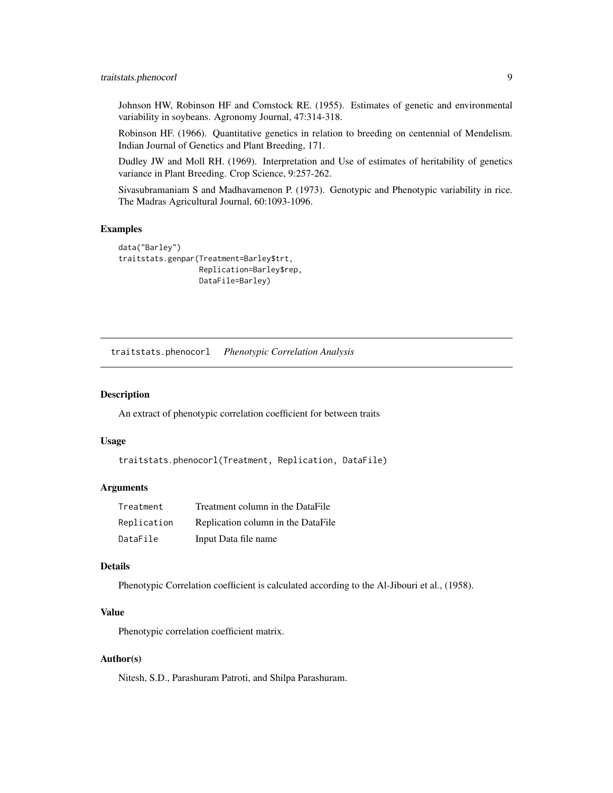<span id="page-8-0"></span>Johnson HW, Robinson HF and Comstock RE. (1955). Estimates of genetic and environmental variability in soybeans. Agronomy Journal, 47:314-318.

Robinson HF. (1966). Quantitative genetics in relation to breeding on centennial of Mendelism. Indian Journal of Genetics and Plant Breeding, 171.

Dudley JW and Moll RH. (1969). Interpretation and Use of estimates of heritability of genetics variance in Plant Breeding. Crop Science, 9:257-262.

Sivasubramaniam S and Madhavamenon P. (1973). Genotypic and Phenotypic variability in rice. The Madras Agricultural Journal, 60:1093-1096.

#### Examples

```
data("Barley")
traitstats.genpar(Treatment=Barley$trt,
                  Replication=Barley$rep,
                  DataFile=Barley)
```
traitstats.phenocorl *Phenotypic Correlation Analysis*

#### Description

An extract of phenotypic correlation coefficient for between traits

#### Usage

```
traitstats.phenocorl(Treatment, Replication, DataFile)
```
### **Arguments**

| Treatment   | Treatment column in the DataFile   |
|-------------|------------------------------------|
| Replication | Replication column in the DataFile |
| DataFile    | Input Data file name               |

#### Details

Phenotypic Correlation coefficient is calculated according to the Al-Jibouri et al., (1958).

#### Value

Phenotypic correlation coefficient matrix.

#### Author(s)

Nitesh, S.D., Parashuram Patroti, and Shilpa Parashuram.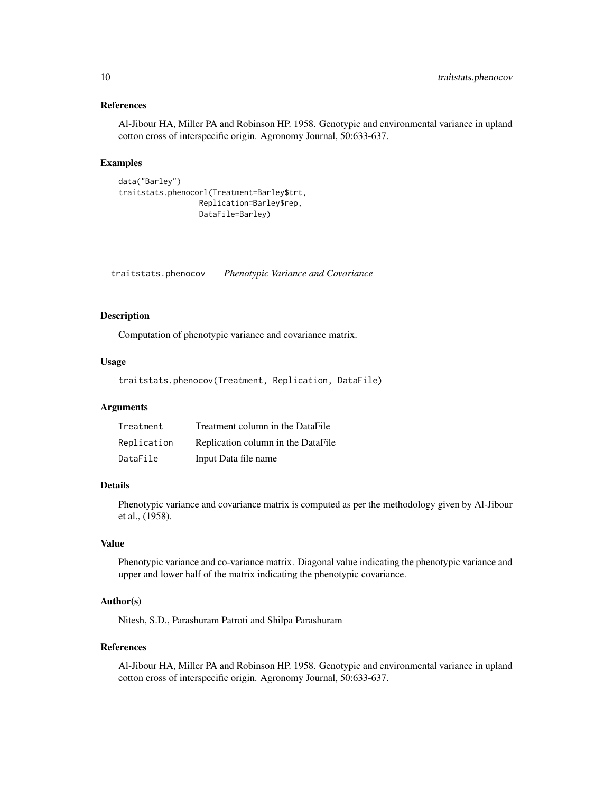#### <span id="page-9-0"></span>References

Al-Jibour HA, Miller PA and Robinson HP. 1958. Genotypic and environmental variance in upland cotton cross of interspecific origin. Agronomy Journal, 50:633-637.

#### Examples

```
data("Barley")
traitstats.phenocorl(Treatment=Barley$trt,
                  Replication=Barley$rep,
                  DataFile=Barley)
```
traitstats.phenocov *Phenotypic Variance and Covariance*

#### Description

Computation of phenotypic variance and covariance matrix.

#### Usage

traitstats.phenocov(Treatment, Replication, DataFile)

# Arguments

| Treatment   | Treatment column in the DataFile   |
|-------------|------------------------------------|
| Replication | Replication column in the DataFile |
| DataFile    | Input Data file name               |

### Details

Phenotypic variance and covariance matrix is computed as per the methodology given by Al-Jibour et al., (1958).

#### Value

Phenotypic variance and co-variance matrix. Diagonal value indicating the phenotypic variance and upper and lower half of the matrix indicating the phenotypic covariance.

# Author(s)

Nitesh, S.D., Parashuram Patroti and Shilpa Parashuram

#### References

Al-Jibour HA, Miller PA and Robinson HP. 1958. Genotypic and environmental variance in upland cotton cross of interspecific origin. Agronomy Journal, 50:633-637.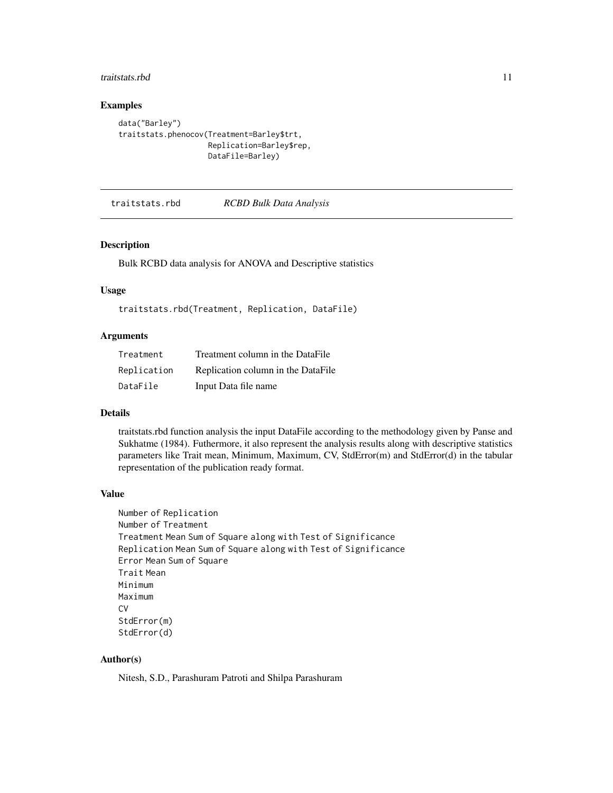#### <span id="page-10-0"></span>traitstats.rbd 11

# Examples

```
data("Barley")
traitstats.phenocov(Treatment=Barley$trt,
                    Replication=Barley$rep,
                    DataFile=Barley)
```
<span id="page-10-1"></span>traitstats.rbd *RCBD Bulk Data Analysis*

#### Description

Bulk RCBD data analysis for ANOVA and Descriptive statistics

## Usage

traitstats.rbd(Treatment, Replication, DataFile)

# Arguments

| Treatment   | Treatment column in the DataFile   |
|-------------|------------------------------------|
| Replication | Replication column in the DataFile |
| DataFile    | Input Data file name               |

### Details

traitstats.rbd function analysis the input DataFile according to the methodology given by Panse and Sukhatme (1984). Futhermore, it also represent the analysis results along with descriptive statistics parameters like Trait mean, Minimum, Maximum, CV, StdError(m) and StdError(d) in the tabular representation of the publication ready format.

#### Value

```
Number of Replication
Number of Treatment
Treatment Mean Sum of Square along with Test of Significance
Replication Mean Sum of Square along with Test of Significance
Error Mean Sum of Square
Trait Mean
Minimum
Maximum
C<sub>V</sub>StdError(m)
StdError(d)
```
### Author(s)

Nitesh, S.D., Parashuram Patroti and Shilpa Parashuram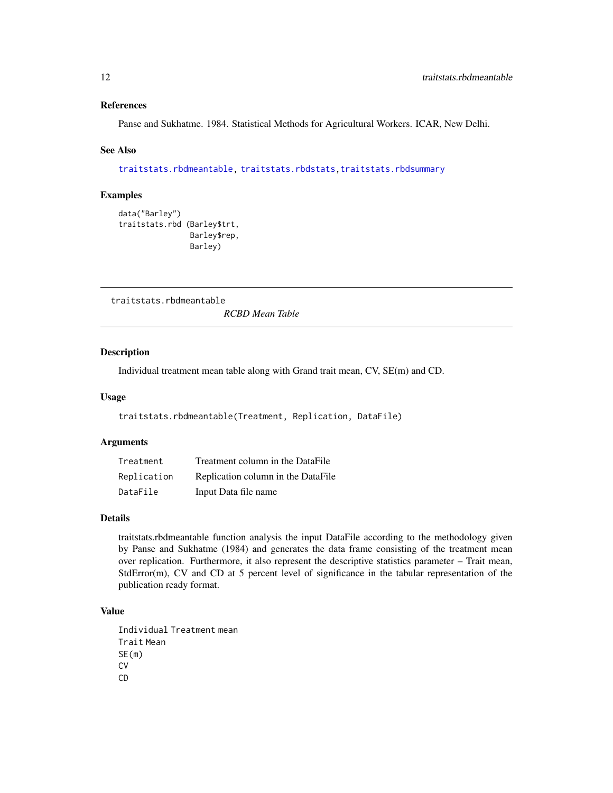#### <span id="page-11-0"></span>References

Panse and Sukhatme. 1984. Statistical Methods for Agricultural Workers. ICAR, New Delhi.

#### See Also

[traitstats.rbdmeantable,](#page-11-1) [traitstats.rbdstats](#page-12-1)[,traitstats.rbdsummary](#page-13-1)

#### Examples

```
data("Barley")
traitstats.rbd (Barley$trt,
                Barley$rep,
                Barley)
```
<span id="page-11-1"></span>traitstats.rbdmeantable

*RCBD Mean Table*

# Description

Individual treatment mean table along with Grand trait mean, CV, SE(m) and CD.

#### Usage

```
traitstats.rbdmeantable(Treatment, Replication, DataFile)
```
# Arguments

| Treatment   | Treatment column in the DataFile   |
|-------------|------------------------------------|
| Replication | Replication column in the DataFile |
| DataFile    | Input Data file name               |

# Details

traitstats.rbdmeantable function analysis the input DataFile according to the methodology given by Panse and Sukhatme (1984) and generates the data frame consisting of the treatment mean over replication. Furthermore, it also represent the descriptive statistics parameter – Trait mean, StdError(m), CV and CD at 5 percent level of significance in the tabular representation of the publication ready format.

# Value

```
Individual Treatment mean
Trait Mean
SE(m)
CV
CD
```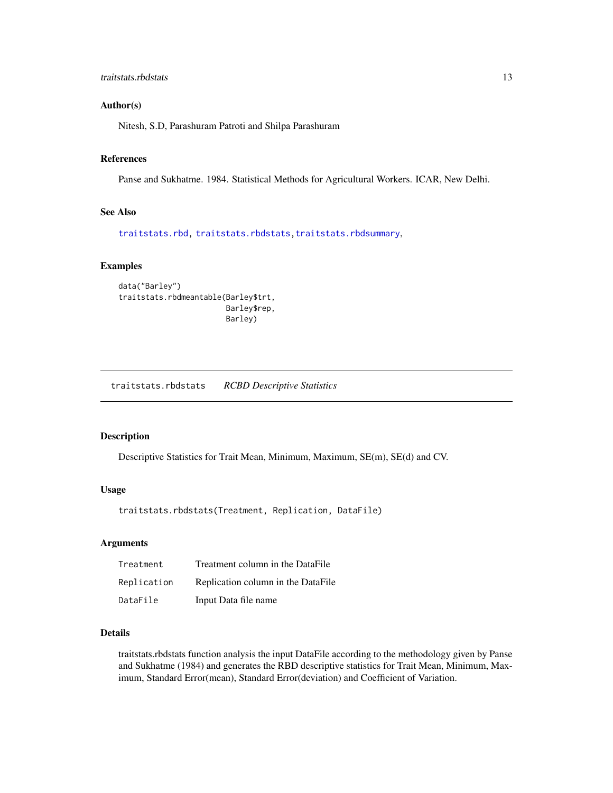#### <span id="page-12-0"></span>Author(s)

Nitesh, S.D, Parashuram Patroti and Shilpa Parashuram

# References

Panse and Sukhatme. 1984. Statistical Methods for Agricultural Workers. ICAR, New Delhi.

# See Also

[traitstats.rbd,](#page-10-1) [traitstats.rbdstats](#page-12-1)[,traitstats.rbdsummary](#page-13-1),

## Examples

```
data("Barley")
traitstats.rbdmeantable(Barley$trt,
                        Barley$rep,
                        Barley)
```
<span id="page-12-1"></span>traitstats.rbdstats *RCBD Descriptive Statistics*

#### Description

Descriptive Statistics for Trait Mean, Minimum, Maximum, SE(m), SE(d) and CV.

# Usage

traitstats.rbdstats(Treatment, Replication, DataFile)

#### Arguments

| Treatment   | Treatment column in the DataFile   |
|-------------|------------------------------------|
| Replication | Replication column in the DataFile |
| DataFile    | Input Data file name               |

# Details

traitstats.rbdstats function analysis the input DataFile according to the methodology given by Panse and Sukhatme (1984) and generates the RBD descriptive statistics for Trait Mean, Minimum, Maximum, Standard Error(mean), Standard Error(deviation) and Coefficient of Variation.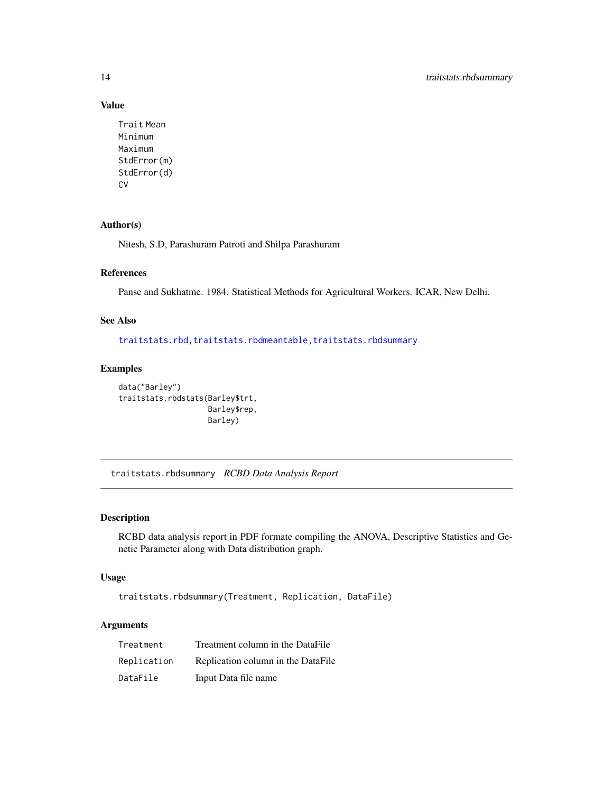# Value

```
Trait Mean
Minimum
Maximum
StdError(m)
StdError(d)
CV
```
# Author(s)

Nitesh, S.D, Parashuram Patroti and Shilpa Parashuram

# References

Panse and Sukhatme. 1984. Statistical Methods for Agricultural Workers. ICAR, New Delhi.

# See Also

[traitstats.rbd](#page-10-1)[,traitstats.rbdmeantable,](#page-11-1)[traitstats.rbdsummary](#page-13-1)

# Examples

```
data("Barley")
traitstats.rbdstats(Barley$trt,
                    Barley$rep,
                    Barley)
```
<span id="page-13-1"></span>traitstats.rbdsummary *RCBD Data Analysis Report*

# Description

RCBD data analysis report in PDF formate compiling the ANOVA, Descriptive Statistics and Genetic Parameter along with Data distribution graph.

# Usage

traitstats.rbdsummary(Treatment, Replication, DataFile)

# Arguments

| Treatment   | Treatment column in the DataFile   |
|-------------|------------------------------------|
| Replication | Replication column in the DataFile |
| DataFile    | Input Data file name               |

<span id="page-13-0"></span>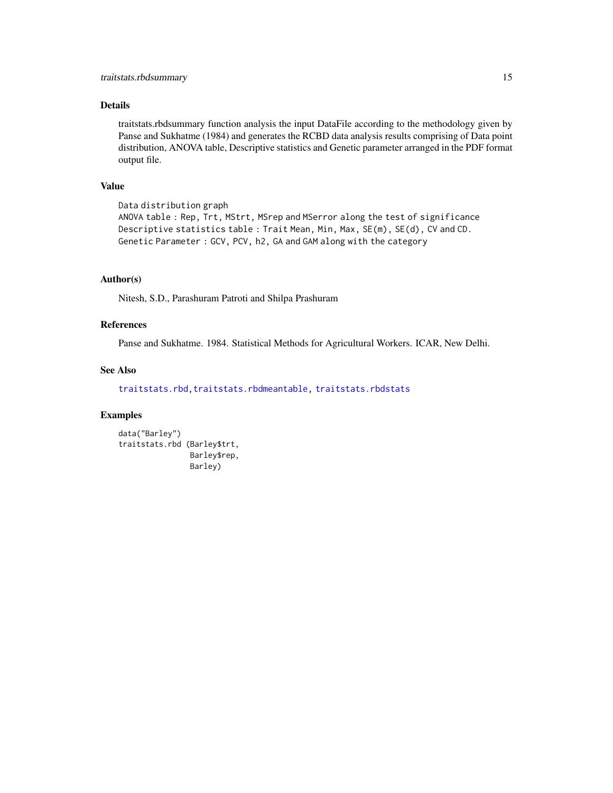# <span id="page-14-0"></span>Details

traitstats.rbdsummary function analysis the input DataFile according to the methodology given by Panse and Sukhatme (1984) and generates the RCBD data analysis results comprising of Data point distribution, ANOVA table, Descriptive statistics and Genetic parameter arranged in the PDF format output file.

# Value

```
Data distribution graph
ANOVA table : Rep, Trt, MStrt, MSrep and MSerror along the test of significance
Descriptive statistics table : Trait Mean, Min, Max, SE(m), SE(d), CV and CD.
Genetic Parameter : GCV, PCV, h2, GA and GAM along with the category
```
#### Author(s)

Nitesh, S.D., Parashuram Patroti and Shilpa Prashuram

# References

Panse and Sukhatme. 1984. Statistical Methods for Agricultural Workers. ICAR, New Delhi.

# See Also

[traitstats.rbd](#page-10-1)[,traitstats.rbdmeantable,](#page-11-1) [traitstats.rbdstats](#page-12-1)

```
data("Barley")
traitstats.rbd (Barley$trt,
                Barley$rep,
                Barley)
```